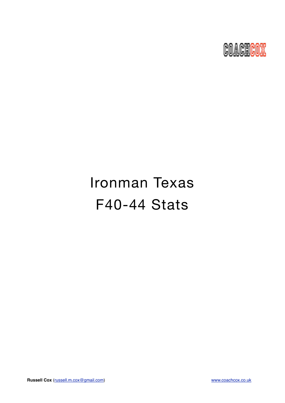

# Ironman Texas F40-44 Stats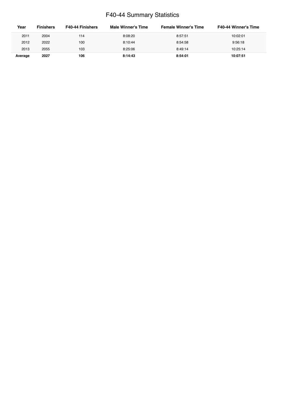### F40-44 Summary Statistics

| Year    | <b>Finishers</b> | <b>F40-44 Finishers</b> | Male Winner's Time | <b>Female Winner's Time</b> | <b>F40-44 Winner's Time</b> |
|---------|------------------|-------------------------|--------------------|-----------------------------|-----------------------------|
| 2011    | 2004             | 114                     | 8:08:20            | 8:57:51                     | 10:02:01                    |
| 2012    | 2022             | 100                     | 8:10:44            | 8:54:58                     | 9:56:18                     |
| 2013    | 2055             | 103                     | 8:25:06            | 8:49:14                     | 10:25:14                    |
| Average | 2027             | 106                     | 8:14:43            | 8:54:01                     | 10:07:51                    |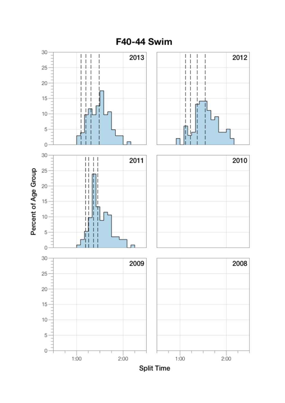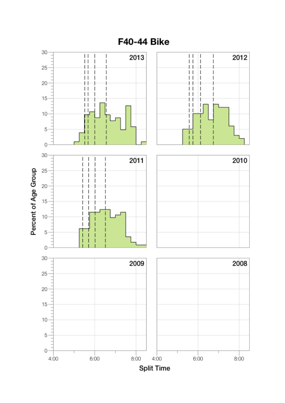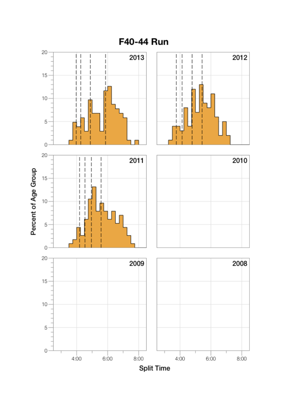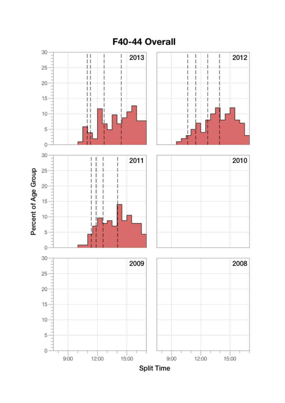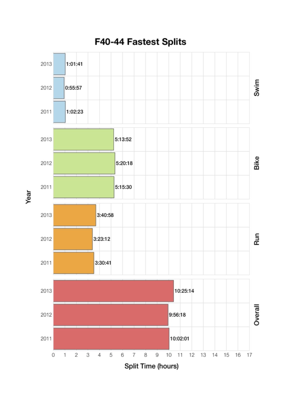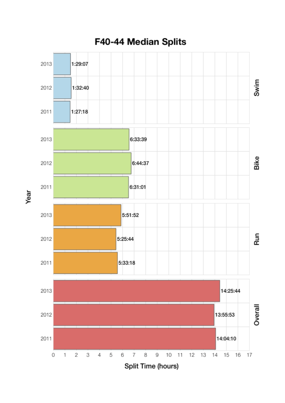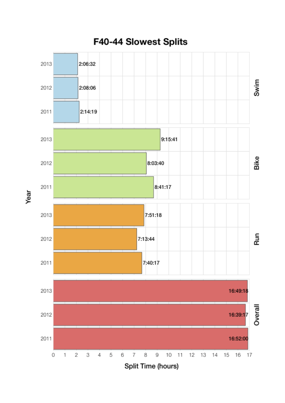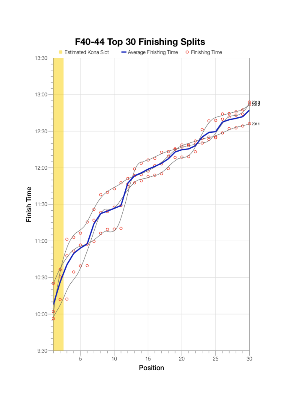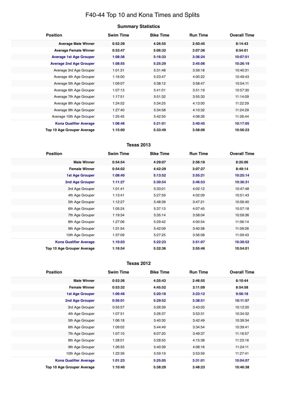## F40-44 Top 10 and Kona Times and Splits

| <b>Position</b>                   | <b>Swim Time</b> | <b>Bike Time</b> | <b>Run Time</b> | <b>Overall Time</b> |
|-----------------------------------|------------------|------------------|-----------------|---------------------|
| <b>Average Male Winner</b>        | 0:52:39          | 4:26:55          | 2:50:45         | 8:14:43             |
| <b>Average Female Winner</b>      | 0:53:47          | 5:06:32          | 3:07:36         | 8:54:01             |
| <b>Average 1st Age Grouper</b>    | 1:08:36          | 5:16:33          | 3:36:24         | 10:07:51            |
| <b>Average 2nd Age Grouper</b>    | 1:08:55          | 5:25:29          | 3:45:06         | 10:26:19            |
| Average 3rd Age Grouper           | 1:01:31          | 5:31:48          | 3:59:18         | 10:40:31            |
| Average 4th Age Grouper           | 1:16:00          | 5:23:47          | 4:00:22         | 10:49:43            |
| Average 5th Age Grouper           | 1:09:07          | 5:38:12          | 3:58:47         | 10:54:11            |
| Average 6th Age Grouper           | 1:07:13          | 5:41:01          | 3:51:19         | 10:57:30            |
| Average 7th Age Grouper           | 1:17:51          | 5:51:32          | 3:55:33         | 11:14:09            |
| Average 8th Age Grouper           | 1:24:52          | 5:34:25          | 4:13:00         | 11:22:29            |
| Average 9th Age Grouper           | 1:27:40          | 5:34:58          | 4:10:32         | 11:24:29            |
| Average 10th Age Grouper          | 1:25:45          | 5:42:50          | 4:08:26         | 11:26:44            |
| <b>Kona Qualifier Average</b>     | 1:08:46          | 5:21:01          | 3:40:45         | 10:17:05            |
| <b>Top 10 Age Grouper Average</b> | 1:15:00          | 5:33:49          | 3:58:06         | 10:56:23            |

#### **Texas 2013**

| <b>Position</b>               | <b>Swim Time</b> | <b>Bike Time</b> | <b>Run Time</b> | <b>Overall Time</b> |
|-------------------------------|------------------|------------------|-----------------|---------------------|
| <b>Male Winner</b>            | 0:54:54          | 4:29:07          | 2:56:18         | 8:25:06             |
| <b>Female Winner</b>          | 0:54:02          | 4:42:29          | 3:07:27         | 8:49:14             |
| <b>1st Age Grouper</b>        | 1:08:40          | 5:13:52          | 3:55:21         | 10:25:14            |
| 2nd Age Grouper               | 1:11:27          | 5:30:54          | 3:46:53         | 10:36:31            |
| 3rd Age Grouper               | 1:01:41          | 5:33:01          | 4:02:12         | 10:47:48            |
| 4th Age Grouper               | 1:13:41          | 5:27:59          | 4:02:09         | 10:51:43            |
| 5th Age Grouper               | 1:12:27          | 5:48:39          | 3:47:21         | 10:56:40            |
| 6th Age Grouper               | 1:05:24          | 5:37:13          | 4:07:45         | 10:57:18            |
| 7th Age Grouper               | 1:19:34          | 5:35:14          | 3:58:04         | 10:59:36            |
| 8th Age Grouper               | 1:27:06          | 5:29:42          | 4:00:54         | 11:06:14            |
| 9th Age Grouper               | 1:31:54          | 5:42:09          | 3:40:58         | 11:09:26            |
| 10th Age Grouper              | 1:37:09          | 5:27:25          | 3:56:08         | 11:09:43            |
| <b>Kona Qualifier Average</b> | 1:10:03          | 5:22:23          | 3:51:07         | 10:30:52            |
| Top 10 Age Grouper Average    | 1:16:54          | 5:32:36          | 3:55:46         | 10:54:01            |

#### **Texas 2012**

| <b>Position</b>                   | <b>Swim Time</b> | <b>Bike Time</b> | <b>Run Time</b> | <b>Overall Time</b> |
|-----------------------------------|------------------|------------------|-----------------|---------------------|
| <b>Male Winner</b>                | 0:53:36          | 4:25:43          | 2:46:55         | 8:10:44             |
| <b>Female Winner</b>              | 0:53:32          | 4:45:52          | 3:11:09         | 8:54:58             |
| <b>1st Age Grouper</b>            | 1:06:46          | 5:20:18          | 3:23:12         | 9:56:18             |
| 2nd Age Grouper                   | 0:56:01          | 5:29:52          | 3:38:51         | 10:11:57            |
| 3rd Age Grouper                   | 0:55:57          | 5:26:39          | 3:43:03         | 10:12:20            |
| 4th Age Grouper                   | 1:07:51          | 5:26:37          | 3:53:31         | 10:34:32            |
| 5th Age Grouper                   | 1:06:18          | 5:40:30          | 3:42:49         | 10:39:34            |
| 6th Age Grouper                   | 1:09:02          | 5:44:49          | 3:34:54         | 10:39:41            |
| 7th Age Grouper                   | 1:07:10          | 6:07:20          | 3:49:37         | 11:16:57            |
| 8th Age Grouper                   | 1:28:01          | 5:28:50          | 4:15:38         | 11:23:16            |
| 9th Age Grouper                   | 1:26:55          | 5:40:39          | 4:08:16         | 11:24:11            |
| 10th Age Grouper                  | 1:22:39          | 5:59:19          | 3:53:59         | 11:27:41            |
| <b>Kona Qualifier Average</b>     | 1:01:23          | 5:25:05          | 3:31:01         | 10:04:07            |
| <b>Top 10 Age Grouper Average</b> | 1:10:40          | 5:38:29          | 3:48:23         | 10:46:38            |